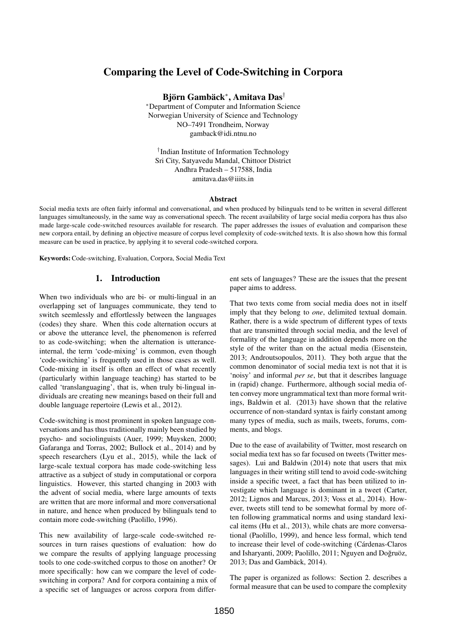# Comparing the Level of Code-Switching in Corpora

Björn Gambäck<sup>∗</sup> , Amitava Das†

<sup>∗</sup>Department of Computer and Information Science Norwegian University of Science and Technology NO–7491 Trondheim, Norway gamback@idi.ntnu.no

† Indian Institute of Information Technology Sri City, Satyavedu Mandal, Chittoor District Andhra Pradesh – 517588, India amitava.das@iiits.in

#### Abstract

Social media texts are often fairly informal and conversational, and when produced by bilinguals tend to be written in several different languages simultaneously, in the same way as conversational speech. The recent availability of large social media corpora has thus also made large-scale code-switched resources available for research. The paper addresses the issues of evaluation and comparison these new corpora entail, by defining an objective measure of corpus level complexity of code-switched texts. It is also shown how this formal measure can be used in practice, by applying it to several code-switched corpora.

Keywords:Code-switching, Evaluation, Corpora, Social Media Text

## 1. Introduction

When two individuals who are bi- or multi-lingual in an overlapping set of languages communicate, they tend to switch seemlessly and effortlessly between the languages (codes) they share. When this code alternation occurs at or above the utterance level, the phenomenon is referred to as code-switching; when the alternation is utteranceinternal, the term 'code-mixing' is common, even though 'code-switching' is frequently used in those cases as well. Code-mixing in itself is often an effect of what recently (particularly within language teaching) has started to be called 'translanguaging', that is, when truly bi-lingual individuals are creating new meanings based on their full and double language repertoire (Lewis et al., 2012).

Code-switching is most prominent in spoken language conversations and has thus traditionally mainly been studied by psycho- and sociolinguists (Auer, 1999; Muysken, 2000; Gafaranga and Torras, 2002; Bullock et al., 2014) and by speech researchers (Lyu et al., 2015), while the lack of large-scale textual corpora has made code-switching less attractive as a subject of study in computational or corpora linguistics. However, this started changing in 2003 with the advent of social media, where large amounts of texts are written that are more informal and more conversational in nature, and hence when produced by bilinguals tend to contain more code-switching (Paolillo, 1996).

This new availability of large-scale code-switched resources in turn raises questions of evaluation: how do we compare the results of applying language processing tools to one code-switched corpus to those on another? Or more specifically: how can we compare the level of codeswitching in corpora? And for corpora containing a mix of a specific set of languages or across corpora from different sets of languages? These are the issues that the present paper aims to address.

That two texts come from social media does not in itself imply that they belong to *one*, delimited textual domain. Rather, there is a wide spectrum of different types of texts that are transmitted through social media, and the level of formality of the language in addition depends more on the style of the writer than on the actual media (Eisenstein, 2013; Androutsopoulos, 2011). They both argue that the common denominator of social media text is not that it is 'noisy' and informal *per se*, but that it describes language in (rapid) change. Furthermore, although social media often convey more ungrammatical text than more formal writings, Baldwin et al. (2013) have shown that the relative occurrence of non-standard syntax is fairly constant among many types of media, such as mails, tweets, forums, comments, and blogs.

Due to the ease of availability of Twitter, most research on social media text has so far focused on tweets (Twitter messages). Lui and Baldwin (2014) note that users that mix languages in their writing still tend to avoid code-switching inside a specific tweet, a fact that has been utilized to investigate which language is dominant in a tweet (Carter, 2012; Lignos and Marcus, 2013; Voss et al., 2014). However, tweets still tend to be somewhat formal by more often following grammatical norms and using standard lexical items (Hu et al., 2013), while chats are more conversational (Paolillo, 1999), and hence less formal, which tend to increase their level of code-switching (Cárdenas-Claros and Isharyanti, 2009; Paolillo, 2011; Nguyen and Doğruöz, 2013; Das and Gambäck, 2014).

The paper is organized as follows: Section 2. describes a formal measure that can be used to compare the complexity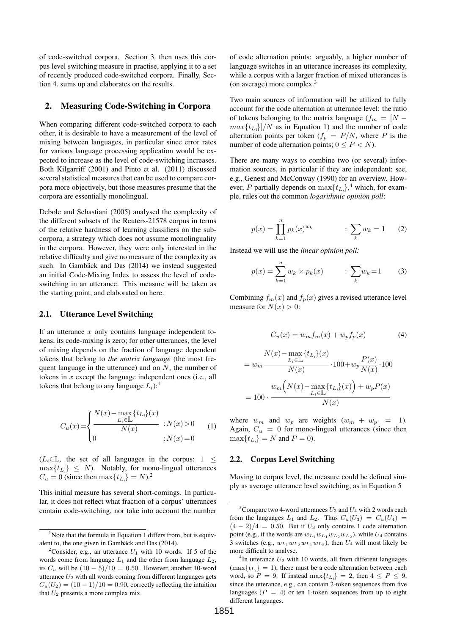of code-switched corpora. Section 3. then uses this corpus level switching measure in practise, applying it to a set of recently produced code-switched corpora. Finally, Section 4. sums up and elaborates on the results.

#### 2. Measuring Code-Switching in Corpora

When comparing different code-switched corpora to each other, it is desirable to have a measurement of the level of mixing between languages, in particular since error rates for various language processing application would be expected to increase as the level of code-switching increases. Both Kilgarriff (2001) and Pinto et al. (2011) discussed several statistical measures that can be used to compare corpora more objectively, but those measures presume that the corpora are essentially monolingual.

Debole and Sebastiani (2005) analysed the complexity of the different subsets of the Reuters-21578 corpus in terms of the relative hardness of learning classifiers on the subcorpora, a strategy which does not assume monolinguality in the corpora. However, they were only interested in the relative difficulty and give no measure of the complexity as such. In Gambäck and Das (2014) we instead suggested an initial Code-Mixing Index to assess the level of codeswitching in an utterance. This measure will be taken as the starting point, and elaborated on here.

#### 2.1. Utterance Level Switching

If an utterance  $x$  only contains language independent tokens, its code-mixing is zero; for other utterances, the level of mixing depends on the fraction of language dependent tokens that belong to *the matrix language* (the most frequent language in the utterance) and on  $N$ , the number of tokens in  $x$  except the language independent ones (i.e., all tokens that belong to any language  $L_i$ ):<sup>1</sup>

$$
C_u(x) = \begin{cases} N(x) - \max_{L_i \in \mathbb{L}} \{t_{L_i}\}(x) \\ \frac{N(x)}{N(x)} & : N(x) > 0 \\ 0 & : N(x) = 0 \end{cases}
$$
(1)

 $(L<sub>i</sub>∈<sub>L</sub>$ , the set of all languages in the corpus; 1 <  $\max\{t_{L_i}\} \leq N$ ). Notably, for mono-lingual utterances  $C_u = 0$  (since then  $\max\{t_{L_i}\} = N$ ).<sup>2</sup>

This initial measure has several short-comings. In particular, it does not reflect what fraction of a corpus' utterances contain code-switching, nor take into account the number of code alternation points: arguably, a higher number of language switches in an utterance increases its complexity, while a corpus with a larger fraction of mixed utterances is (on average) more complex. $3$ 

Two main sources of information will be utilized to fully account for the code alternation at utterance level: the ratio of tokens belonging to the matrix language ( $f_m = [N$  $max{t_{L_i}}/N$  as in Equation 1) and the number of code alternation points per token  $(f_p = P/N)$ , where P is the number of code alternation points;  $0 \le P \le N$ ).

There are many ways to combine two (or several) information sources, in particular if they are independent; see, e.g., Genest and McConway (1990) for an overview. However, P partially depends on  $\max\{t_{L_i}\}\,^4$  which, for example, rules out the common *logarithmic opinion poll*:

$$
p(x) = \prod_{k=1}^{n} p_k(x)^{w_k} \qquad : \sum_{k} w_k = 1 \qquad (2)
$$

Instead we will use the *linear opinion poll:*

$$
p(x) = \sum_{k=1}^{n} w_k \times p_k(x) \qquad : \sum_{k} w_k = 1 \qquad (3)
$$

Combining  $f_m(x)$  and  $f_p(x)$  gives a revised utterance level measure for  $N(x) > 0$ :

$$
C_u(x) = w_m f_m(x) + w_p f_p(x) \tag{4}
$$

$$
= w_m \frac{N(x) - \max\limits_{L_i \in \mathbb{L}} \{t_{L_i}\}(x)}{N(x)} \cdot 100 + w_p \frac{P(x)}{N(x)} \cdot 100
$$

$$
= 100 \cdot \frac{w_m \left(N(x) - \max\limits_{L_i \in \mathbb{L}} \{t_{L_i}\}(x)\right) + w_p P(x)}{N(x)}
$$

where  $w_m$  and  $w_p$  are weights  $(w_m + w_p = 1)$ . Again,  $C_u = 0$  for mono-lingual utterances (since then  $\max\{t_{L_i}\} = N$  and  $P = 0$ ).

#### 2.2. Corpus Level Switching

Moving to corpus level, the measure could be defined simply as average utterance level switching, as in Equation 5

 $1$ Note that the formula in Equation 1 differs from, but is equivalent to, the one given in Gambäck and Das (2014).

<sup>&</sup>lt;sup>2</sup>Consider, e.g., an utterance  $U_1$  with 10 words. If 5 of the words come from language  $L_1$  and the other from language  $L_2$ , its  $C_u$  will be  $(10-5)/10 = 0.50$ . However, another 10-word utterance  $U_2$  with all words coming from different languages gets  $C_u(U_2) = (10 - 1)/10 = 0.90$ , correctly reflecting the intuition that  $U_2$  presents a more complex mix.

<sup>&</sup>lt;sup>3</sup>Compare two 4-word utterances  $U_3$  and  $U_4$  with 2 words each from the languages  $L_1$  and  $L_2$ . Thus  $C_u(U_3) = C_u(U_4) =$  $(4 - 2)/4 = 0.50$ . But if  $U_3$  only contains 1 code alternation point (e.g., if the words are  $w_{L_1}w_{L_1}w_{L_2}w_{L_2}$ ), while  $U_4$  contains 3 switches (e.g.,  $w_{L_1}w_{L_2}w_{L_1}w_{L_2}$ ), then  $U_4$  will most likely be more difficult to analyse.

 $4$ In utterance  $U_2$  with 10 words, all from different languages  $(\max\{t_{L_i}\} = 1)$ , there must be a code alternation between each word, so  $P = 9$ . If instead  $\max\{t_{L_i}\} = 2$ , then  $4 \leq P \leq 9$ , since the utterance, e.g., can contain 2-token sequences from five languages ( $P = 4$ ) or ten 1-token sequences from up to eight different languages.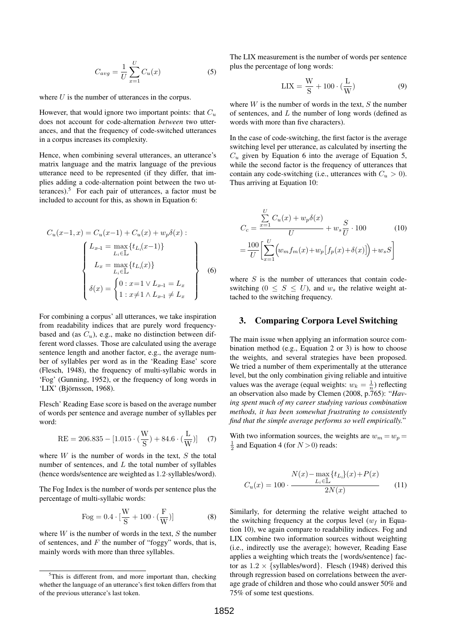$$
C_{avg} = \frac{1}{U} \sum_{x=1}^{U} C_u(x) \tag{5}
$$

where  $U$  is the number of utterances in the corpus.

However, that would ignore two important points: that  $C_u$ does not account for code-alternation *between* two utterances, and that the frequency of code-switched utterances in a corpus increases its complexity.

Hence, when combining several utterances, an utterance's matrix language and the matrix language of the previous utterance need to be represented (if they differ, that implies adding a code-alternation point between the two utterances).<sup>5</sup> For each pair of utterances, a factor must be included to account for this, as shown in Equation 6:

$$
C_u(x-1, x) = C_u(x-1) + C_u(x) + w_p \delta(x):
$$

$$
L_{x-1} = \max_{L_i \in \mathbb{L}} \{t_{L_i}(x-1)\}
$$

$$
L_x = \max_{L_i \in \mathbb{L}} \{t_{L_i}(x)\}
$$

$$
\delta(x) = \begin{cases} 0: x=1 \vee L_{x-1} = L_x \\ 1: x \neq 1 \wedge L_{x-1} \neq L_x \end{cases}
$$
(6)

For combining a corpus' all utterances, we take inspiration from readability indices that are purely word frequencybased and (as  $C_u$ ), e.g., make no distinction between different word classes. Those are calculated using the average sentence length and another factor, e.g., the average number of syllables per word as in the 'Reading Ease' score (Flesch, 1948), the frequency of multi-syllabic words in 'Fog' (Gunning, 1952), or the frequency of long words in 'LIX' (Björnsson, 1968).

Flesch' Reading Ease score is based on the average number of words per sentence and average number of syllables per word:

RE = 206.835 - 
$$
[1.015 \cdot (\frac{W}{S}) + 84.6 \cdot (\frac{L}{W})]
$$
 (7)

where  $W$  is the number of words in the text,  $S$  the total number of sentences, and  $L$  the total number of syllables (hence words/sentence are weighted as 1.2·syllables/word).

The Fog Index is the number of words per sentence plus the percentage of multi-syllabic words:

Fog = 
$$
0.4 \cdot \left[\frac{W}{S} + 100 \cdot \left(\frac{F}{W}\right)\right]
$$
 (8)

where  $W$  is the number of words in the text,  $S$  the number of sentences, and  $F$  the number of "foggy" words, that is, mainly words with more than three syllables.

The LIX measurement is the number of words per sentence plus the percentage of long words:

$$
LIX = \frac{W}{S} + 100 \cdot (\frac{L}{W})
$$
 (9)

where  $W$  is the number of words in the text,  $S$  the number of sentences, and  $L$  the number of long words (defined as words with more than five characters).

In the case of code-switching, the first factor is the average switching level per utterance, as calculated by inserting the  $C_u$  given by Equation 6 into the average of Equation 5, while the second factor is the frequency of utterances that contain any code-switching (i.e., utterances with  $C_u > 0$ ). Thus arriving at Equation 10:

$$
C_c = \frac{\sum_{x=1}^{U} C_u(x) + w_p \delta(x)}{U} + w_s \frac{S}{U} \cdot 100
$$
 (10)  
= 
$$
\frac{100}{U} \left[ \sum_{x=1}^{U} \left( w_m f_m(x) + w_p \left[ f_p(x) + \delta(x) \right] \right) + w_s S \right]
$$

where  $S$  is the number of utterances that contain codeswitching ( $0 \leq S \leq U$ ), and  $w_s$  the relative weight attached to the switching frequency.

### 3. Comparing Corpora Level Switching

The main issue when applying an information source combination method (e.g., Equation 2 or 3) is how to choose the weights, and several strategies have been proposed. We tried a number of them experimentally at the utterance level, but the only combination giving reliable and intuitive values was the average (equal weights:  $w_k = \frac{1}{n}$ ) reflecting an observation also made by Clemen (2008, p.765): "*Having spent much of my career studying various combination methods, it has been somewhat frustrating to consistently find that the simple average performs so well empirically.*"

With two information sources, the weights are  $w_m = w_p =$  $\frac{1}{2}$  and Equation 4 (for  $N > 0$ ) reads:

$$
C_u(x) = 100 \cdot \frac{N(x) - \max\limits_{L_i \in \mathbb{L}} \{t_{L_i}\}(x) + P(x)}{2N(x)}
$$
(11)

Similarly, for determing the relative weight attached to the switching frequency at the corpus level  $(w_f)$  in Equation 10), we again compare to readability indices. Fog and LIX combine two information sources without weighting (i.e., indirectly use the average); however, Reading Ease applies a weighting which treats the {words/sentence} factor as  $1.2 \times$  {syllables/word}. Flesch (1948) derived this through regression based on correlations between the average grade of children and those who could answer 50% and 75% of some test questions.

 $5$ This is different from, and more important than, checking whether the language of an utterance's first token differs from that of the previous utterance's last token.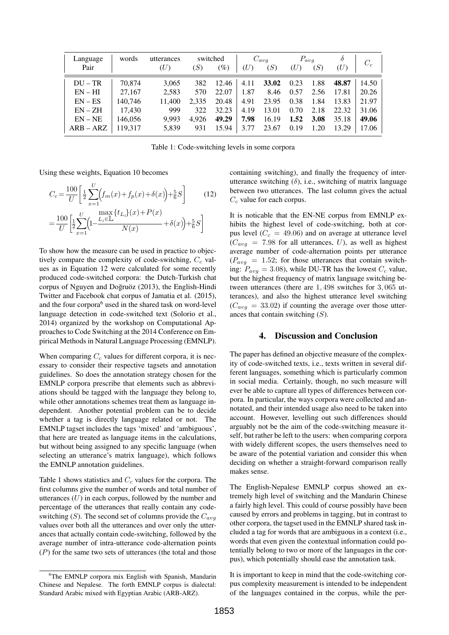| Language    | words   | utterances | switched |                 | $C_{avg}$ |       | $P_{avg}$ |      | $\delta$ | $C_c$ |
|-------------|---------|------------|----------|-----------------|-----------|-------|-----------|------|----------|-------|
| Pair        |         | (U)        | (S)      | $\mathscr{G}_o$ | (U)       | (S)   | (U)       | (S)  | (U)      |       |
| $DU - TR$   | 70.874  | 3.065      | 382      | 12.46           | 4.11      | 33.02 | 0.23      | 1.88 | 48.87    | 14.50 |
| $EN-HI$     | 27,167  | 2,583      | 570      | 22.07           | 1.87      | 8.46  | 0.57      | 2.56 | 17.81    | 20.26 |
| $EN - ES$   | 140,746 | 11.400     | 2.335    | 20.48           | 4.91      | 23.95 | 0.38      | 1.84 | 13.83    | 21.97 |
| $EN-ZH$     | 17,430  | 999        | 322      | 32.23           | 4.19      | 13.01 | 0.70      | 2.18 | 22.32    | 31.06 |
| $EN - NE$   | 146.056 | 9.993      | 4.926    | 49.29           | 7.98      | 16.19 | 1.52      | 3.08 | 35.18    | 49.06 |
| $ARB - ARZ$ | 119.317 | 5,839      | 931      | 15.94           | 3.77      | 23.67 | 0.19      | 1.20 | 13.29    | 17.06 |

Table 1: Code-switching levels in some corpora

Using these weights, Equation 10 becomes

$$
C_c = \frac{100}{U} \left[ \frac{1}{2} \sum_{x=1}^{U} \left( f_m(x) + f_p(x) + \delta(x) \right) + \frac{5}{6} S \right]
$$
(12)

$$
=\frac{100}{U}\bigg[\frac{1}{2}\!\sum_{x=1}^{U}\!\!\Big(\!\!1\!\!-\!\!\frac{\max\limits_{L_i\in\mathbb{L}}\!\!\{t_{L_i}\}(x)\!+\!P(x)}{N(x)}\!+\!\delta(x)\!\Big)\!+\!\frac{5}{6}S\bigg]
$$

To show how the measure can be used in practice to objectively compare the complexity of code-switching,  $C_c$  values as in Equation 12 were calculated for some recently produced code-switched corpora: the Dutch-Turkish chat corpus of Nguyen and Doğruöz (2013), the English-Hindi Twitter and Facebook chat corpus of Jamatia et al. (2015), and the four corpora<sup>6</sup> used in the shared task on word-level language detection in code-switched text (Solorio et al., 2014) organized by the workshop on Computational Approaches to Code Switching at the 2014 Conference on Empirical Methods in Natural Language Processing (EMNLP).

When comparing  $C_c$  values for different corpora, it is necessary to consider their respective tagsets and annotation guidelines. So does the annotation strategy chosen for the EMNLP corpora prescribe that elements such as abbreviations should be tagged with the language they belong to, while other annotations schemes treat them as language independent. Another potential problem can be to decide whether a tag is directly language related or not. The EMNLP tagset includes the tags 'mixed' and 'ambiguous', that here are treated as language items in the calculations, but without being assigned to any specific language (when selecting an utterance's matrix language), which follows the EMNLP annotation guidelines.

Table 1 shows statistics and  $C_c$  values for the corpora. The first columns give the number of words and total number of utterances  $(U)$  in each corpus, followed by the number and percentage of the utterances that really contain any codeswitching  $(S)$ . The second set of columns provide the  $C_{area}$ values over both all the utterances and over only the utterances that actually contain code-switching, followed by the average number of intra-utterance code-alternation points  $(P)$  for the same two sets of utterances (the total and those

containing switching), and finally the frequency of interutterance switching  $(\delta)$ , i.e., switching of matrix language between two utterances. The last column gives the actual  $C_c$  value for each corpus.

It is noticable that the EN-NE corpus from EMNLP exhibits the highest level of code-switching, both at corpus level ( $C_c = 49.06$ ) and on average at utterance level  $(C_{avg} = 7.98$  for all utterances, U), as well as highest average number of code-alternation points per utterance  $(P_{avg} = 1.52;$  for those utterances that contain switching:  $P_{avg} = 3.08$ ), while DU-TR has the lowest  $C_c$  value, but the highest frequency of matrix language switching between utterances (there are 1, 498 switches for 3, 065 utterances), and also the highest utterance level switching  $(C_{avg} = 33.02)$  if counting the average over those utterances that contain switching  $(S)$ .

#### 4. Discussion and Conclusion

The paper has defined an objective measure of the complexity of code-switched texts, i.e., texts written in several different languages, something which is particularly common in social media. Certainly, though, no such measure will ever be able to capture all types of differences between corpora. In particular, the ways corpora were collected and annotated, and their intended usage also need to be taken into account. However, levelling out such differences should arguably not be the aim of the code-switching measure itself, but rather be left to the users: when comparing corpora with widely different scopes, the users themselves need to be aware of the potential variation and consider this when deciding on whether a straight-forward comparison really makes sense.

The English-Nepalese EMNLP corpus showed an extremely high level of switching and the Mandarin Chinese a fairly high level. This could of course possibly have been caused by errors and problems in tagging, but in contrast to other corpora, the tagset used in the EMNLP shared task included a tag for words that are ambiguous in a context (i.e., words that even given the contextual information could potentially belong to two or more of the languages in the corpus), which potentially should ease the annotation task.

It is important to keep in mind that the code-switching corpus complexity measurement is intended to be independent of the languages contained in the corpus, while the per-

<sup>&</sup>lt;sup>6</sup>The EMNLP corpora mix English with Spanish, Mandarin Chinese and Nepalese. The forth EMNLP corpus is dialectal: Standard Arabic mixed with Egyptian Arabic (ARB-ARZ).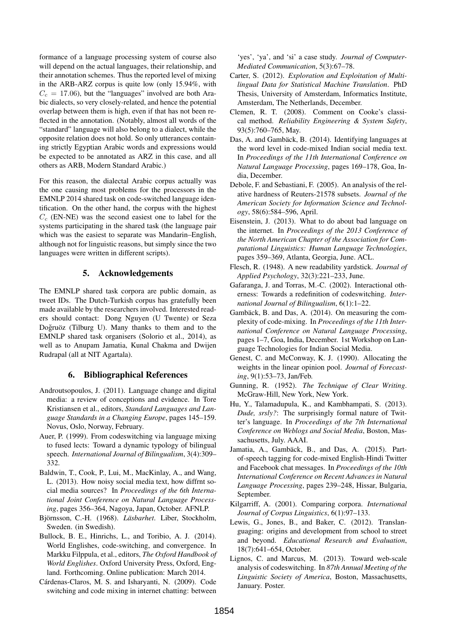formance of a language processing system of course also will depend on the actual languages, their relationship, and their annotation schemes. Thus the reported level of mixing in the ARB-ARZ corpus is quite low (only 15.94%, with  $C_c = 17.06$ , but the "languages" involved are both Arabic dialects, so very closely-related, and hence the potential overlap between them is high, even if that has not been reflected in the annotation. (Notably, almost all words of the "standard" language will also belong to a dialect, while the opposite relation does not hold. So only utterances containing strictly Egyptian Arabic words and expressions would be expected to be annotated as ARZ in this case, and all others as ARB, Modern Standard Arabic.)

For this reason, the dialectal Arabic corpus actually was the one causing most problems for the processors in the EMNLP 2014 shared task on code-switched language identification. On the other hand, the corpus with the highest  $C_c$  (EN-NE) was the second easiest one to label for the systems participating in the shared task (the language pair which was the easiest to separate was Mandarin–English, although not for linguistic reasons, but simply since the two languages were written in different scripts).

## 5. Acknowledgements

The EMNLP shared task corpora are public domain, as tweet IDs. The Dutch-Turkish corpus has gratefully been made available by the researchers involved. Interested readers should contact: Dong Nguyen (U Twente) or Seza Doğruöz (Tilburg U). Many thanks to them and to the EMNLP shared task organisers (Solorio et al., 2014), as well as to Anupam Jamatia, Kunal Chakma and Dwijen Rudrapal (all at NIT Agartala).

## 6. Bibliographical References

- Androutsopoulos, J. (2011). Language change and digital media: a review of conceptions and evidence. In Tore Kristiansen et al., editors, *Standard Languages and Language Standards in a Changing Europe*, pages 145–159. Novus, Oslo, Norway, February.
- Auer, P. (1999). From codeswitching via language mixing to fused lects: Toward a dynamic typology of bilingual speech. *International Journal of Bilingualism*, 3(4):309– 332.
- Baldwin, T., Cook, P., Lui, M., MacKinlay, A., and Wang, L. (2013). How noisy social media text, how diffrnt social media sources? In *Proceedings of the 6th International Joint Conference on Natural Language Processing*, pages 356–364, Nagoya, Japan, October. AFNLP.
- Björnsson, C.-H. (1968). *Läsbarhet*. Liber, Stockholm, Sweden. (in Swedish).
- Bullock, B. E., Hinrichs, L., and Toribio, A. J. (2014). World Englishes, code-switching, and convergence. In Markku Filppula, et al., editors, *The Oxford Handbook of World Englishes*. Oxford University Press, Oxford, England. Forthcoming. Online publication: March 2014.
- Cárdenas-Claros, M. S. and Isharyanti, N. (2009). Code switching and code mixing in internet chatting: between

'yes', 'ya', and 'si' a case study. *Journal of Computer-Mediated Communication*, 5(3):67–78.

- Carter, S. (2012). *Exploration and Exploitation of Multilingual Data for Statistical Machine Translation*. PhD Thesis, University of Amsterdam, Informatics Institute, Amsterdam, The Netherlands, December.
- Clemen, R. T. (2008). Comment on Cooke's classical method. *Reliability Engineering & System Safety*, 93(5):760–765, May.
- Das, A. and Gambäck, B. (2014). Identifying languages at the word level in code-mixed Indian social media text. In *Proceedings of the 11th International Conference on Natural Language Processing*, pages 169–178, Goa, India, December.
- Debole, F. and Sebastiani, F. (2005). An analysis of the relative hardness of Reuters-21578 subsets. *Journal of the American Society for Information Science and Technology*, 58(6):584–596, April.
- Eisenstein, J. (2013). What to do about bad language on the internet. In *Proceedings of the 2013 Conference of the North American Chapter of the Association for Computational Linguistics: Human Language Technologies*, pages 359–369, Atlanta, Georgia, June. ACL.
- Flesch, R. (1948). A new readability yardstick. *Journal of Applied Psychology*, 32(3):221–233, June.
- Gafaranga, J. and Torras, M.-C. (2002). Interactional otherness: Towards a redefinition of codeswitching. *International Journal of Bilingualism*, 6(1):1–22.
- Gambäck, B. and Das, A. (2014). On measuring the complexity of code-mixing. In *Proceedings of the 11th International Conference on Natural Language Processing*, pages 1–7, Goa, India, December. 1st Workshop on Language Technologies for Indian Social Media.
- Genest, C. and McConway, K. J. (1990). Allocating the weights in the linear opinion pool. *Journal of Forecasting*, 9(1):53–73, Jan/Feb.
- Gunning, R. (1952). *The Technique of Clear Writing*. McGraw-Hill, New York, New York.
- Hu, Y., Talamadupula, K., and Kambhampati, S. (2013). *Dude, srsly?*: The surprisingly formal nature of Twitter's language. In *Proceedings of the 7th International Conference on Weblogs and Social Media*, Boston, Massachusetts, July. AAAI.
- Jamatia, A., Gambäck, B., and Das, A. (2015). Partof-speech tagging for code-mixed English-Hindi Twitter and Facebook chat messages. In *Proceedings of the 10th International Conference on Recent Advances in Natural Language Processing*, pages 239–248, Hissar, Bulgaria, September.
- Kilgarriff, A. (2001). Comparing corpora. *International Journal of Corpus Linguistics*, 6(1):97–133.
- Lewis, G., Jones, B., and Baker, C. (2012). Translanguaging: origins and development from school to street and beyond. *Educational Research and Evaluation*, 18(7):641–654, October.
- Lignos, C. and Marcus, M. (2013). Toward web-scale analysis of codeswitching. In *87th Annual Meeting of the Linguistic Society of America*, Boston, Massachusetts, January. Poster.